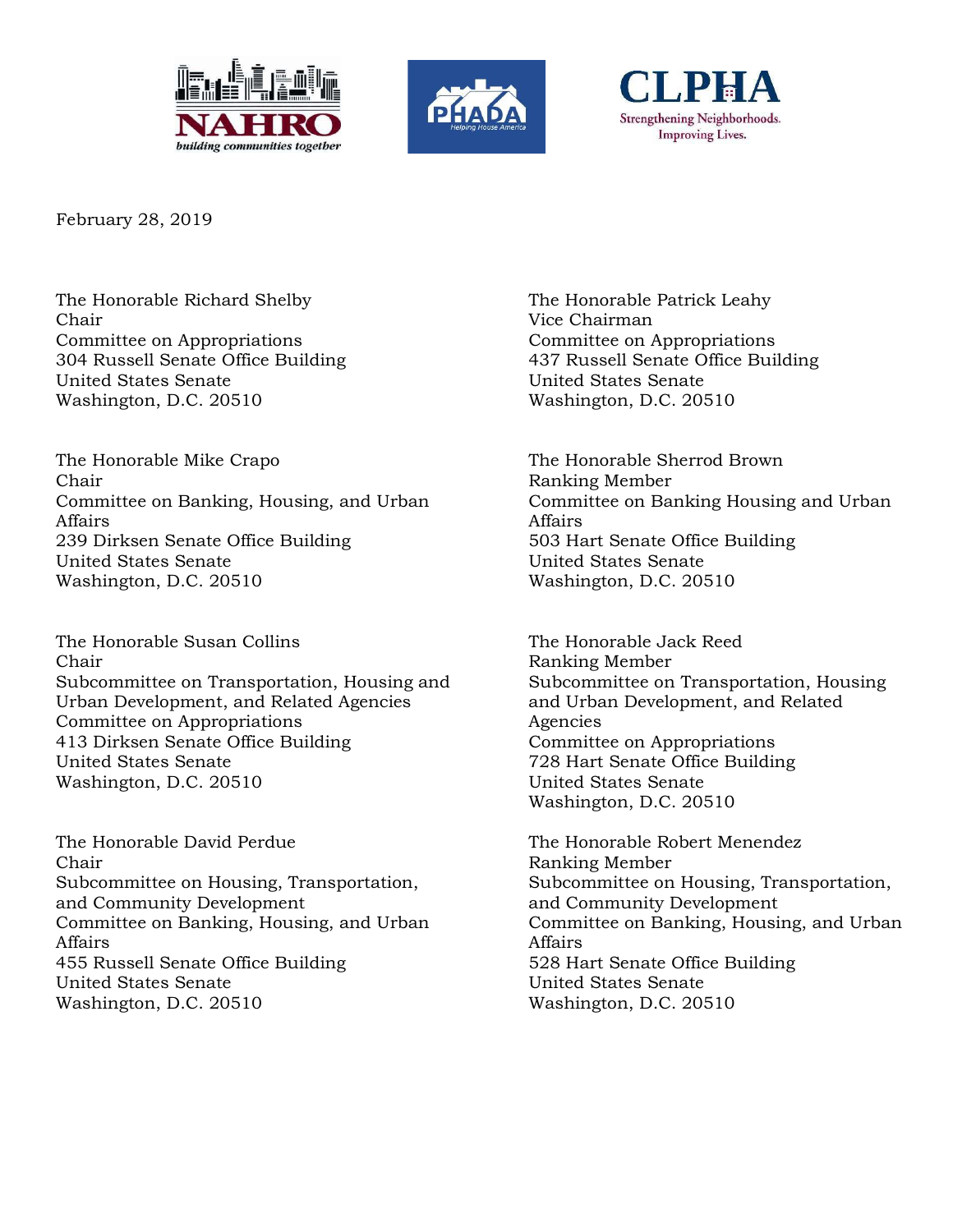





February 28, 2019

The Honorable Richard Shelby Chair Committee on Appropriations 304 Russell Senate Office Building United States Senate Washington, D.C. 20510

The Honorable Mike Crapo Chair Committee on Banking, Housing, and Urban Affairs 239 Dirksen Senate Office Building United States Senate Washington, D.C. 20510

The Honorable Susan Collins Chair Subcommittee on Transportation, Housing and Urban Development, and Related Agencies Committee on Appropriations 413 Dirksen Senate Office Building United States Senate Washington, D.C. 20510

The Honorable David Perdue Chair Subcommittee on Housing, Transportation, and Community Development Committee on Banking, Housing, and Urban Affairs 455 Russell Senate Office Building United States Senate Washington, D.C. 20510

The Honorable Patrick Leahy Vice Chairman Committee on Appropriations 437 Russell Senate Office Building United States Senate Washington, D.C. 20510

The Honorable Sherrod Brown Ranking Member Committee on Banking Housing and Urban Affairs 503 Hart Senate Office Building United States Senate Washington, D.C. 20510

The Honorable Jack Reed Ranking Member Subcommittee on Transportation, Housing and Urban Development, and Related Agencies Committee on Appropriations 728 Hart Senate Office Building United States Senate Washington, D.C. 20510

The Honorable Robert Menendez Ranking Member Subcommittee on Housing, Transportation, and Community Development Committee on Banking, Housing, and Urban Affairs 528 Hart Senate Office Building United States Senate Washington, D.C. 20510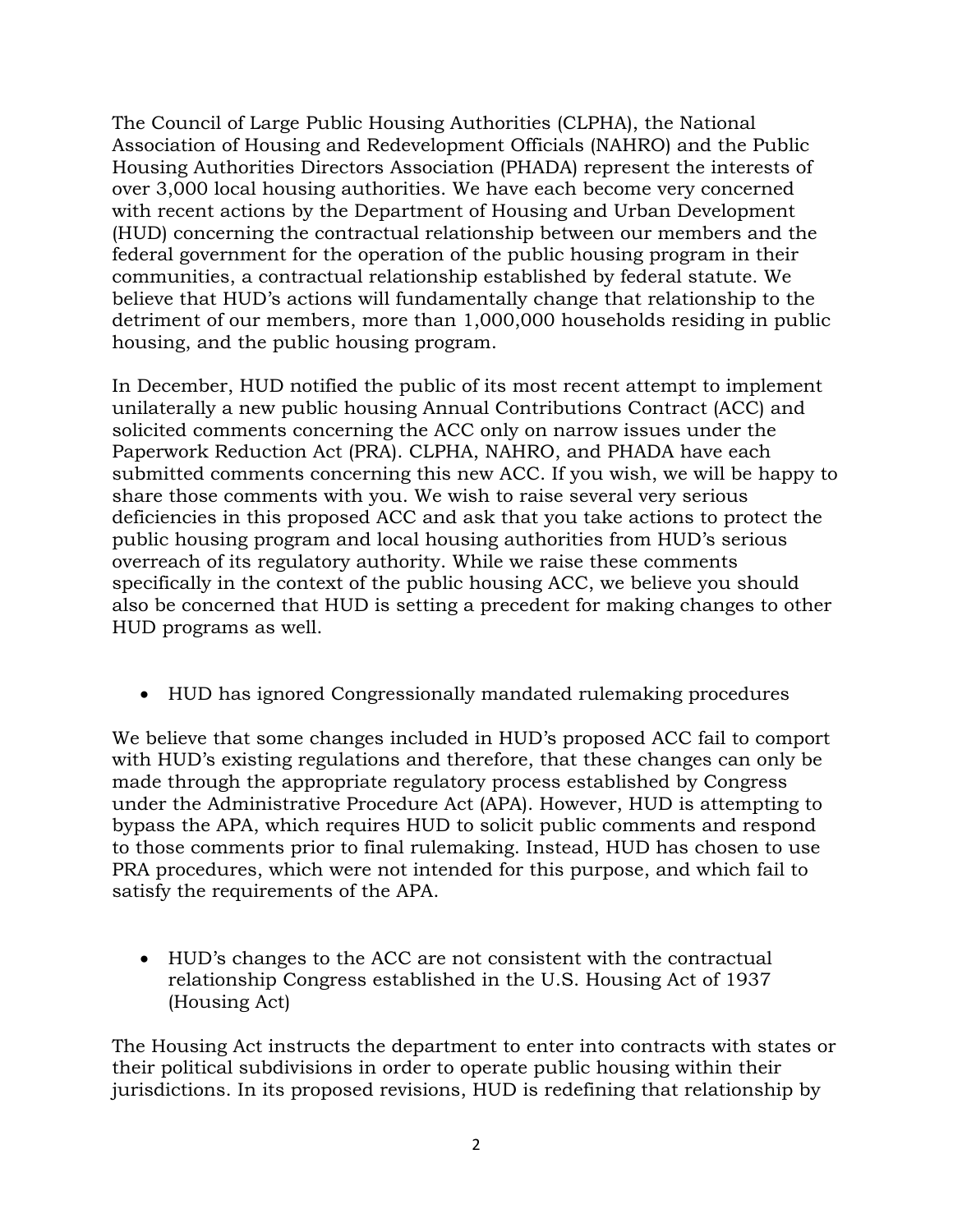The Council of Large Public Housing Authorities (CLPHA), the National Association of Housing and Redevelopment Officials (NAHRO) and the Public Housing Authorities Directors Association (PHADA) represent the interests of over 3,000 local housing authorities. We have each become very concerned with recent actions by the Department of Housing and Urban Development (HUD) concerning the contractual relationship between our members and the federal government for the operation of the public housing program in their communities, a contractual relationship established by federal statute. We believe that HUD's actions will fundamentally change that relationship to the detriment of our members, more than 1,000,000 households residing in public housing, and the public housing program.

In December, HUD notified the public of its most recent attempt to implement unilaterally a new public housing Annual Contributions Contract (ACC) and solicited comments concerning the ACC only on narrow issues under the Paperwork Reduction Act (PRA). CLPHA, NAHRO, and PHADA have each submitted comments concerning this new ACC. If you wish, we will be happy to share those comments with you. We wish to raise several very serious deficiencies in this proposed ACC and ask that you take actions to protect the public housing program and local housing authorities from HUD's serious overreach of its regulatory authority. While we raise these comments specifically in the context of the public housing ACC, we believe you should also be concerned that HUD is setting a precedent for making changes to other HUD programs as well.

HUD has ignored Congressionally mandated rulemaking procedures

We believe that some changes included in HUD's proposed ACC fail to comport with HUD's existing regulations and therefore, that these changes can only be made through the appropriate regulatory process established by Congress under the Administrative Procedure Act (APA). However, HUD is attempting to bypass the APA, which requires HUD to solicit public comments and respond to those comments prior to final rulemaking. Instead, HUD has chosen to use PRA procedures, which were not intended for this purpose, and which fail to satisfy the requirements of the APA.

 HUD's changes to the ACC are not consistent with the contractual relationship Congress established in the U.S. Housing Act of 1937 (Housing Act)

The Housing Act instructs the department to enter into contracts with states or their political subdivisions in order to operate public housing within their jurisdictions. In its proposed revisions, HUD is redefining that relationship by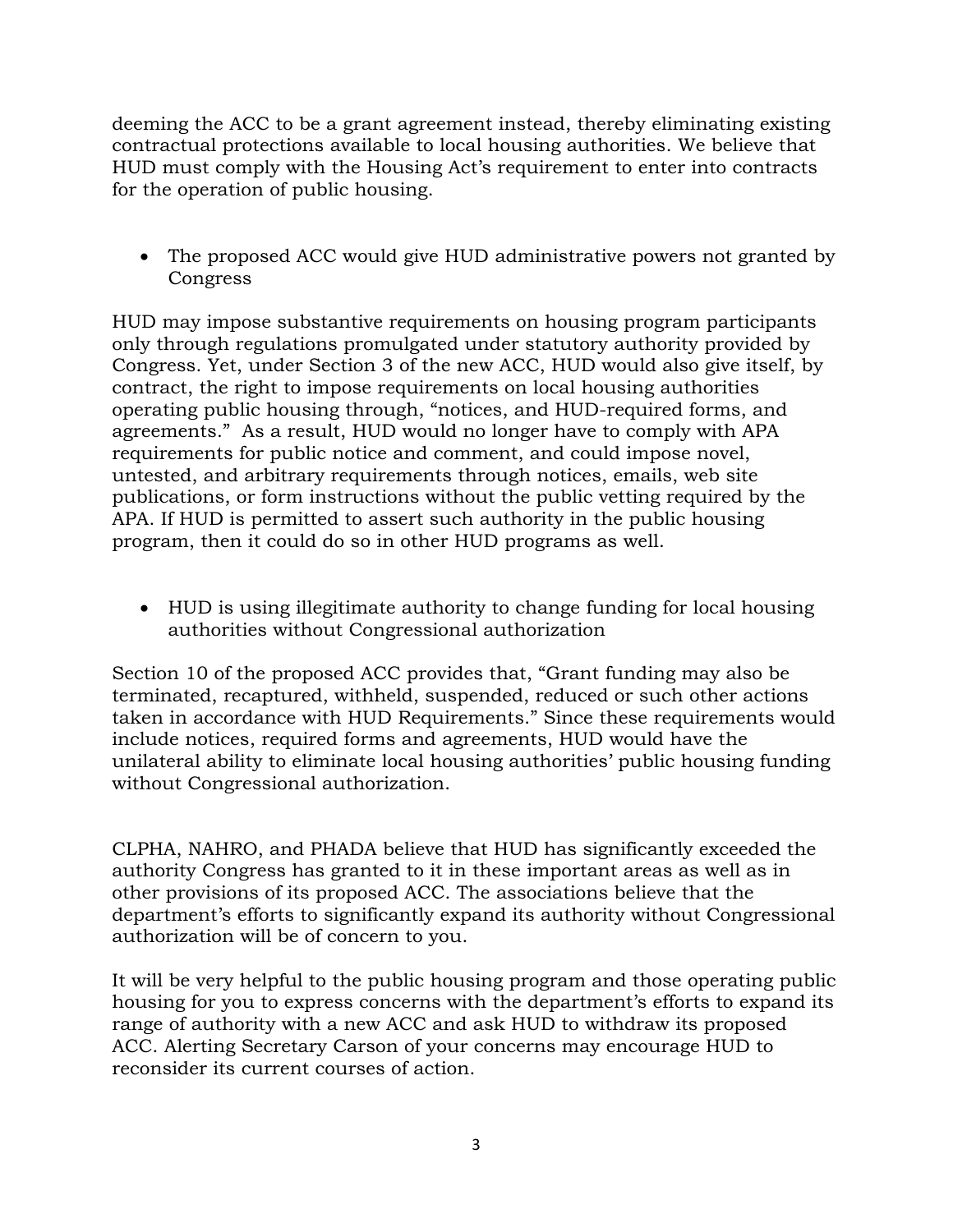deeming the ACC to be a grant agreement instead, thereby eliminating existing contractual protections available to local housing authorities. We believe that HUD must comply with the Housing Act's requirement to enter into contracts for the operation of public housing.

 The proposed ACC would give HUD administrative powers not granted by Congress

HUD may impose substantive requirements on housing program participants only through regulations promulgated under statutory authority provided by Congress. Yet, under Section 3 of the new ACC, HUD would also give itself, by contract, the right to impose requirements on local housing authorities operating public housing through, "notices, and HUD-required forms, and agreements." As a result, HUD would no longer have to comply with APA requirements for public notice and comment, and could impose novel, untested, and arbitrary requirements through notices, emails, web site publications, or form instructions without the public vetting required by the APA. If HUD is permitted to assert such authority in the public housing program, then it could do so in other HUD programs as well.

 HUD is using illegitimate authority to change funding for local housing authorities without Congressional authorization

Section 10 of the proposed ACC provides that, "Grant funding may also be terminated, recaptured, withheld, suspended, reduced or such other actions taken in accordance with HUD Requirements." Since these requirements would include notices, required forms and agreements, HUD would have the unilateral ability to eliminate local housing authorities' public housing funding without Congressional authorization.

CLPHA, NAHRO, and PHADA believe that HUD has significantly exceeded the authority Congress has granted to it in these important areas as well as in other provisions of its proposed ACC. The associations believe that the department's efforts to significantly expand its authority without Congressional authorization will be of concern to you.

It will be very helpful to the public housing program and those operating public housing for you to express concerns with the department's efforts to expand its range of authority with a new ACC and ask HUD to withdraw its proposed ACC. Alerting Secretary Carson of your concerns may encourage HUD to reconsider its current courses of action.